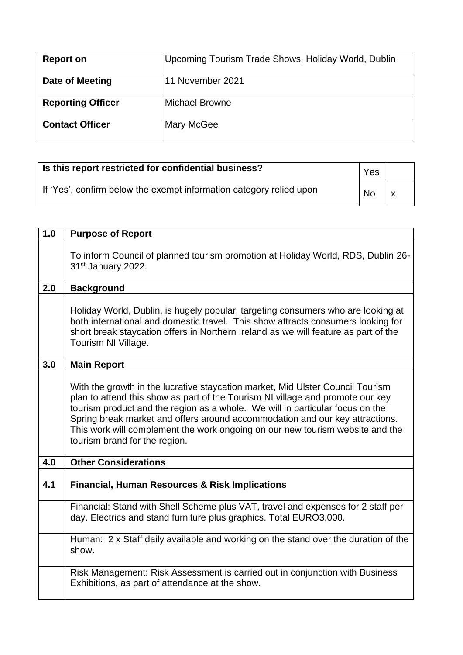| <b>Report on</b>         | Upcoming Tourism Trade Shows, Holiday World, Dublin |
|--------------------------|-----------------------------------------------------|
| Date of Meeting          | 11 November 2021                                    |
| <b>Reporting Officer</b> | <b>Michael Browne</b>                               |
| <b>Contact Officer</b>   | Mary McGee                                          |

| Is this report restricted for confidential business?                | <b>Yes</b> |  |
|---------------------------------------------------------------------|------------|--|
| If 'Yes', confirm below the exempt information category relied upon | <b>No</b>  |  |

| 1.0 | <b>Purpose of Report</b>                                                                                                                                                                                                                                                                                                                                                                                                                            |
|-----|-----------------------------------------------------------------------------------------------------------------------------------------------------------------------------------------------------------------------------------------------------------------------------------------------------------------------------------------------------------------------------------------------------------------------------------------------------|
|     | To inform Council of planned tourism promotion at Holiday World, RDS, Dublin 26-<br>31 <sup>st</sup> January 2022.                                                                                                                                                                                                                                                                                                                                  |
| 2.0 | <b>Background</b>                                                                                                                                                                                                                                                                                                                                                                                                                                   |
|     | Holiday World, Dublin, is hugely popular, targeting consumers who are looking at<br>both international and domestic travel. This show attracts consumers looking for<br>short break staycation offers in Northern Ireland as we will feature as part of the<br>Tourism NI Village.                                                                                                                                                                  |
| 3.0 | <b>Main Report</b>                                                                                                                                                                                                                                                                                                                                                                                                                                  |
|     | With the growth in the lucrative staycation market, Mid Ulster Council Tourism<br>plan to attend this show as part of the Tourism NI village and promote our key<br>tourism product and the region as a whole. We will in particular focus on the<br>Spring break market and offers around accommodation and our key attractions.<br>This work will complement the work ongoing on our new tourism website and the<br>tourism brand for the region. |
| 4.0 | <b>Other Considerations</b>                                                                                                                                                                                                                                                                                                                                                                                                                         |
| 4.1 | <b>Financial, Human Resources &amp; Risk Implications</b>                                                                                                                                                                                                                                                                                                                                                                                           |
|     | Financial: Stand with Shell Scheme plus VAT, travel and expenses for 2 staff per<br>day. Electrics and stand furniture plus graphics. Total EURO3,000.                                                                                                                                                                                                                                                                                              |
|     | Human: 2 x Staff daily available and working on the stand over the duration of the<br>show.                                                                                                                                                                                                                                                                                                                                                         |
|     | Risk Management: Risk Assessment is carried out in conjunction with Business<br>Exhibitions, as part of attendance at the show.                                                                                                                                                                                                                                                                                                                     |